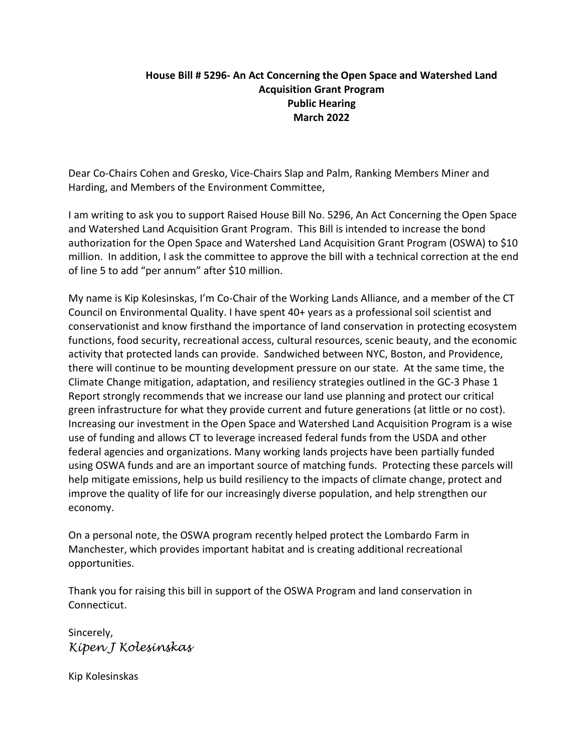## **House Bill # 5296- An Act Concerning the Open Space and Watershed Land Acquisition Grant Program Public Hearing March 2022**

Dear Co-Chairs Cohen and Gresko, Vice-Chairs Slap and Palm, Ranking Members Miner and Harding, and Members of the Environment Committee,

I am writing to ask you to support Raised House Bill No. 5296, An Act Concerning the Open Space and Watershed Land Acquisition Grant Program. This Bill is intended to increase the bond authorization for the Open Space and Watershed Land Acquisition Grant Program (OSWA) to \$10 million. In addition, I ask the committee to approve the bill with a technical correction at the end of line 5 to add "per annum" after \$10 million.

My name is Kip Kolesinskas, I'm Co-Chair of the Working Lands Alliance, and a member of the CT Council on Environmental Quality. I have spent 40+ years as a professional soil scientist and conservationist and know firsthand the importance of land conservation in protecting ecosystem functions, food security, recreational access, cultural resources, scenic beauty, and the economic activity that protected lands can provide. Sandwiched between NYC, Boston, and Providence, there will continue to be mounting development pressure on our state. At the same time, the Climate Change mitigation, adaptation, and resiliency strategies outlined in the GC-3 Phase 1 Report strongly recommends that we increase our land use planning and protect our critical green infrastructure for what they provide current and future generations (at little or no cost). Increasing our investment in the Open Space and Watershed Land Acquisition Program is a wise use of funding and allows CT to leverage increased federal funds from the USDA and other federal agencies and organizations. Many working lands projects have been partially funded using OSWA funds and are an important source of matching funds. Protecting these parcels will help mitigate emissions, help us build resiliency to the impacts of climate change, protect and improve the quality of life for our increasingly diverse population, and help strengthen our economy.

On a personal note, the OSWA program recently helped protect the Lombardo Farm in Manchester, which provides important habitat and is creating additional recreational opportunities.

Thank you for raising this bill in support of the OSWA Program and land conservation in Connecticut.

Sincerely, *Kipen J Kolesinskas*

Kip Kolesinskas